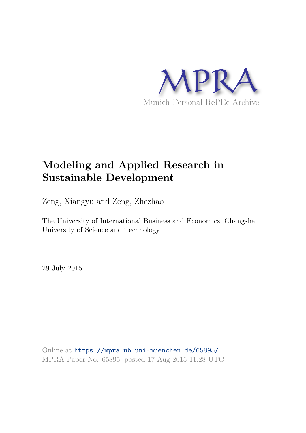

# **Modeling and Applied Research in Sustainable Development**

Zeng, Xiangyu and Zeng, Zhezhao

The University of International Business and Economics, Changsha University of Science and Technology

29 July 2015

Online at https://mpra.ub.uni-muenchen.de/65895/ MPRA Paper No. 65895, posted 17 Aug 2015 11:28 UTC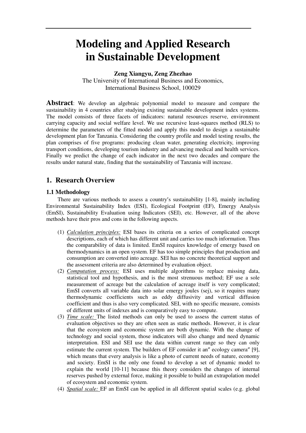# **Modeling and Applied Research in Sustainable Development**

**Zeng Xiangyu, Zeng Zhezhao**  The University of International Business and Economics, International Business School, 100029

**Abstract**: We develop an algebraic polynomial model to measure and compare the sustainability in 4 countries after studying existing sustainable development index systems. The model consists of three facets of indicators: natural resources reserve, environment carrying capacity and social welfare level. We use recursive least-squares method (RLS) to determine the parameters of the fitted model and apply this model to design a sustainable development plan for Tanzania. Considering the country profile and model testing results, the plan comprises of five programs: producing clean water, generating electricity, improving transport conditions, developing tourism industry and advancing medical and health services. Finally we predict the change of each indicator in the next two decades and compare the results under natural state, finding that the sustainability of Tanzania will increase.

# **1. Research Overview**

# **1.1 Methodology**

 There are various methods to assess a country's sustainability [1-8], mainly including Environmental Sustainability Index (ESI), Ecological Footprint (EF), Emergy Analysis (EmSI), Sustainability Evaluation using Indicators (SEI), etc. However, all of the above methods have their pros and cons in the following aspects.

- (1) *Calculation principles:* ESI bases its criteria on a series of complicated concept descriptions, each of which has different unit and carries too much information. Thus the comparability of data is limited. EmSI requires knowledge of emergy based on thermodynamics in an open system. EF has too simple principles that production and consumption are converted into acreage. SEI has no concrete theoretical support and the assessment criteria are also determined by evaluation object.
- (2) *Computation process:* ESI uses multiple algorithms to replace missing data, statistical tool and hypothesis, and is the most strenuous method; EF use a sole measurement of acreage but the calculation of acreage itself is very complicated; EmSI converts all variable data into solar emergy joules (sej), so it requires many thermodynamic coefficients such as eddy diffusivity and vertical diffusion coefficient and thus is also very complicated. SEI, with no specific measure, consists of different units of indexes and is comparatively easy to compute.
- (3) *Time scale:* The listed methods can only be used to assess the current status of evaluation objectives so they are often seen as static methods. However, it is clear that the ecosystem and economic system are both dynamic. With the change of technology and social system, those indicators will also change and need dynamic interpretation. ESI and SEI use the data within current range so they can only estimate the current system. The builders of EF consider it an" ecology camera" [9], which means that every analysis is like a photo of current needs of nature, economy and society. EmSI is the only one found to develop a set of dynamic model to explain the world [10-11] because this theory considers the changes of internal reserves pushed by external force, making it possible to build an extrapolation model of ecosystem and economic system.
- (4) *Spatial scale:* EF an EmSI can be applied in all different spatial scales (e.g. global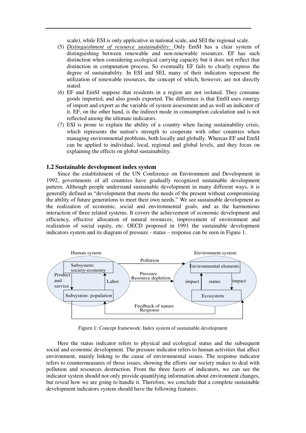scale), while ESI is only applicative in national scale, and SEI the regional scale.

- (5) *Distinguishment of resource sustainability:* Only EmSI has a clear system of distinguishing between renewable and non-renewable resources. EF has such distinction when considering ecological carrying capacity but it does not reflect that distinction in computation process. So eventually EF fails to clearly express the degree of sustainability. In ESI and SEI, many of their indicators represent the utilization of renewable resources, the concept of which, however, are not directly stated.
- (6) EF and EmSI suppose that residents in a region are not isolated. They consume goods imported, and also goods exported. The difference is that EmSI uses emergy of import and export as the variable of system assessment and as well an indicator of it. EF, on the other hand, is the indirect mode in consumption calculation and is not reflected among the ultimate indicators.
- (7) ESI is prone to explain the ability of a country when facing sustainability crisis, which represents the nation's strength to cooperate with other countries when managing environmental problems, both locally and globally. Whereas EF and EmSI can be applied to individual, local, regional and global levels, and they focus on explaining the effects on global sustainability.

# **1.2 Sustainable development index system**

 Since the establishment of the UN Conference on Environment and Development in 1992, governments of all countries have gradually recognized sustainable development pattern. Although people understand sustainable development in many different ways, it is generally defined as "development that meets the needs of the present without compromising the ability of future generations to meet their own needs." We see sustainable development as the realization of economic, social and environmental goals, and as the harmonious interaction of three related systems. It covers the achievement of economic development and efficiency, effective allocation of natural resources, improvement of environment and realization of social equity, etc. OECD proposed in 1991 the sustainable development indicators system and its diagram of pressure - status – response can be seen in Figure 1.



Figure 1: Concept framework: Index system of sustainable development

Here the status indicator refers to physical and ecological status and the subsequent social and economic development. The pressure indicator refers to human activities that affect environment, mainly linking to the cause of environmental issues. The response indicator refers to countermeasures of those issues, showing the efforts our society makes to deal with pollution and resources destruction. From the three facets of indicators, we can see the indicator system should not only provide quantifying information about environment changes, but reveal how we are going to handle it. Therefore, we conclude that a complete sustainable development indicators system should have the following features.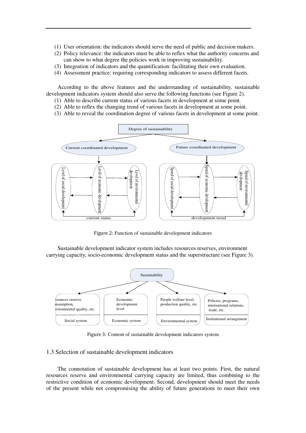- (1) User orientation: the indicators should serve the need of public and decision makers.
- (2) Policy relevance: the indicators must be able to reflex what the authority concerns and can show to what degree the policies work in improving sustainability.
- (3) Integration of indicators and the quantification: facilitating their own evaluation.
- (4) Assessment practice: requiring corresponding indicators to assess different facets.

 According to the above features and the understanding of sustainability, sustainable development indicators system should also serve the following functions (see Figure 2).

- (1) Able to describe current status of various facets in development at some point.
- (2) Able to reflex the changing trend of various facets in development at some point.
- (3) Able to reveal the coordination degree of various facets in development at some point.



Figure 2: Function of sustainable development indicators

Sustainable development indicator system includes resources reserves, environment carrying capacity, socio-economic development status and the superstructure (see Figure 3).



Figure 3: Content of sustainable development indicators system

### 1.3 Selection of sustainable development indicators

 The connotation of sustainable development has at least two points. First, the natural resources reserve and environmental carrying capacity are limited, thus combining to the restrictive condition of economic development. Second, development should meet the needs of the present while not compromising the ability of future generations to meet their own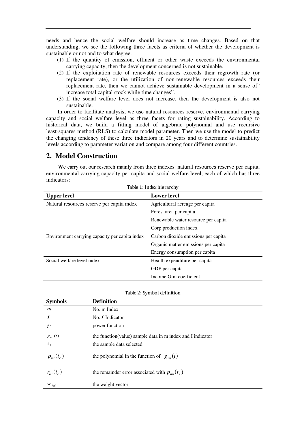needs and hence the social welfare should increase as time changes. Based on that understanding, we see the following three facets as criteria of whether the development is sustainable or not and to what degree.

- (1) If the quantity of emission, effluent or other waste exceeds the environmental carrying capacity, then the development concerned is not sustainable.
- (2) If the exploitation rate of renewable resources exceeds their regrowth rate (or replacement rate), or the utilization of non-renewable resources exceeds their replacement rate, then we cannot achieve sustainable development in a sense of" increase total capital stock while time changes".
- (3) If the social welfare level does not increase, then the development is also not sustainable.

 In order to facilitate analysis, we use natural resources reserve, environmental carrying capacity and social welfare level as three facets for rating sustainability. According to historical data, we build a fitting model of algebraic polynomial and use recursive least-squares method (RLS) to calculate model parameter. Then we use the model to predict the changing tendency of these three indicators in 20 years and to determine sustainability levels according to parameter variation and compare among four different countries.

# **2. Model Construction**

We carry out our research mainly from three indexes: natural resources reserve per capita, environmental carrying capacity per capita and social welfare level, each of which has three indicators:

| Table 1: Index hierarchy                       |                                     |  |  |  |
|------------------------------------------------|-------------------------------------|--|--|--|
| <b>Upper level</b>                             | <b>Lower</b> level                  |  |  |  |
| Natural resources reserve per capita index     | Agricultural acreage per capita     |  |  |  |
|                                                | Forest area per capita              |  |  |  |
|                                                | Renewable water resource per capita |  |  |  |
|                                                | Corp production index               |  |  |  |
| Environment carrying capacity per capita index | Carbon dioxide emissions per capita |  |  |  |
|                                                | Organic matter emissions per capita |  |  |  |
|                                                | Energy consumption per capita       |  |  |  |
| Social welfare level index                     | Health expenditure per capita       |  |  |  |
|                                                | GDP per capita                      |  |  |  |
|                                                | Income Gini coefficient             |  |  |  |

|  |  | Table 2: Symbol definition |
|--|--|----------------------------|
|--|--|----------------------------|

| <b>Symbols</b>   | <b>Definition</b>                                           |
|------------------|-------------------------------------------------------------|
| $\boldsymbol{m}$ | No. m Index                                                 |
| i                | No. $i$ Indicator                                           |
|                  | power function                                              |
| $g_{mi}(t)$      | the function (value) sample data in m index and I indicator |
| ${\bf t}_k$      | the sample data selected                                    |
| $p_{m}(t_{k})$   | the polynomial in the function of $g_{mi}(t)$               |
| $r_{m i}(t_{k})$ | the remainder error associated with $p_{mi}(t_k)$           |
| $W_{jmi}$        | the weight vector                                           |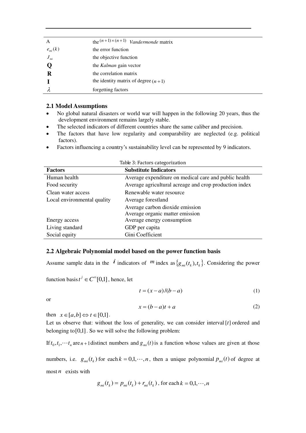| A            | the $(n+1)\times(n+1)$ Vandermonde matrix |
|--------------|-------------------------------------------|
| $e_{m i}(k)$ | the error function                        |
| $J_{m i}$    | the objective function                    |
|              | the Kalman gain vector                    |
| R            | the correlation matrix                    |
|              | the identity matrix of degree $(n+1)$     |
|              | forgetting factors                        |

### **2.1 Model Assumptions**

- No global natural disasters or world war will happen in the following 20 years, thus the development environment remains largely stable.
- The selected indicators of different countries share the same caliber and precision.
- The factors that have low regularity and comparability are neglected (e.g. political factors).
- Factors influencing a country's sustainability level can be represented by 9 indicators.

| <b>Factors</b>              | <b>Substitute Indicators</b>                           |
|-----------------------------|--------------------------------------------------------|
| Human health                | Average expenditure on medical care and public health  |
| Food security               | Average agricultural acreage and crop production index |
| Clean water access          | Renewable water resource                               |
| Local environmental quality | Average forestland                                     |
|                             | Average carbon dioxide emission                        |
|                             | Average organic matter emission                        |
| Energy access               | Average energy consumption                             |
| Living standard             | GDP per capita                                         |
| Social equity               | Gini Coefficient                                       |

#### Table 3: Factors categorization

# **2.2 Algebraic Polynomial model based on the power function basis**

Assume sample data in the  $\vec{i}$  indicators of  $m$  index as  $\{g_{mi}(t_k), t_k\}$ . Considering the power

function basis  $t^j \in C^\infty[0,1]$ , hence, let

$$
t = (x - a)/(b - a) \tag{1}
$$

or

$$
x = (b - a)t + a \tag{2}
$$

then  $x \in [a,b] \Leftrightarrow t \in [0,1]$ .

Let us observe that: without the loss of generality, we can consider interval  $\{t\}$  ordered and belonging to  $[0,1]$ . So we will solve the following problem:

If  $t_0, t_1, \dots, t_n$  are  $n+1$  distinct numbers and  $g_{mi}(t)$  is a function whose values are given at those

numbers, i.e.  $g_{mi}(t_k)$  for each  $k = 0,1,\dots,n$ , then a unique polynomial  $p_{mi}(t)$  of degree at most  $n$  exists with

$$
g_{mi}(t_k) = p_{mi}(t_k) + r_{mi}(t_k)
$$
, for each  $k = 0,1,\dots, n$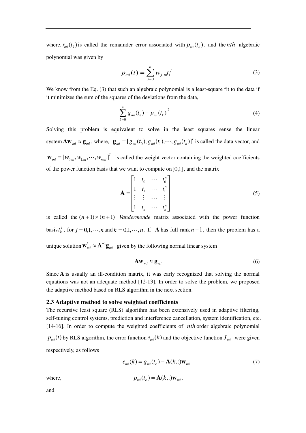where,  $r_{mi}(t_k)$  is called the remainder error associated with  $p_{mi}(t_k)$ , and the *nth* algebraic polynomial was given by

$$
p_{mi}(t) = \sum_{j=0}^{n} w_{j}{}_{m}t_i^j
$$
 (3)

We know from the Eq. (3) that such an algebraic polynomial is a least-square fit to the data if it minimizes the sum of the squares of the deviations from the data,

$$
\sum_{k=0}^{n} |g_{mi}(t_k) - p_{mi}(t_k)|^2
$$
 (4)

Solving this problem is equivalent to solve in the least squares sense the linear system  $A\mathbf{w}_{mi} \approx \mathbf{g}_{mi}$ , where,  $\mathbf{g}_{mi} = [g_{mi}(t_0), g_{mi}(t_1), \cdots, g_{mi}(t_n)]^T$  is called the data vector, and  $\mathbf{w}_{mi} = [w_{0mi}, w_{1mi}, \cdots, w_{nmi}]^T$  is called the weight vector containing the weighted coefficients of the power function basis that we want to compute on  $[0,1]$ , and the matrix

$$
\mathbf{A} = \begin{bmatrix} 1 & t_0 & \cdots & t_0^n \\ 1 & t_1 & \cdots & t_1^n \\ \vdots & \vdots & \cdots & \vdots \\ 1 & t_n & \cdots & t_n^n \end{bmatrix}
$$
 (5)

is called the  $(n+1) \times (n+1)$  *Vandermonde* matrix associated with the power function basis  $t_k^j$ , for  $j = 0,1,\dots, n$  and  $k = 0,1,\dots, n$ . If **A** has full rank  $n + 1$ , then the problem has a unique solution  $\mathbf{w}_{mi}^* \approx \mathbf{A}^{-1} \mathbf{g}_{mi}$  given by the following normal linear system

$$
\mathbf{A}\mathbf{w}_{mi} \approx \mathbf{g}_{mi} \tag{6}
$$

Since **A** is usually an ill-condition matrix, it was early recognized that solving the normal equations was not an adequate method [12-13]. In order to solve the problem, we proposed the adaptive method based on RLS algorithm in the next section.

#### **2.3 Adaptive method to solve weighted coefficients**

The recursive least square (RLS) algorithm has been extensively used in adaptive filtering, self-tuning control systems, prediction and interference cancellation, system identification, etc. [14-16]. In order to compute the weighted coefficients of *nth* order algebraic polynomial  $p_{mi}(t)$  by RLS algorithm, the error function  $e_{mi}(k)$  and the objective function  $J_{mi}$  were given respectively, as follows

$$
e_{mi}(k) = g_{mi}(t_k) - \mathbf{A}(k,:) \mathbf{w}_{mi}
$$
 (7)

where, 
$$
p_{mi}(t_k) = \mathbf{A}(k,:)\mathbf{w}_{mi}.
$$

and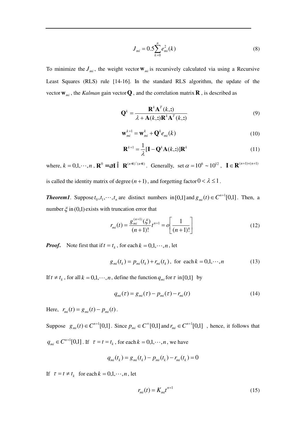$$
J_{mi} = 0.5 \sum_{k=0}^{n} e_{mi}^{2}(k)
$$
 (8)

To minimize the  $J_{mi}$ , the weight vector  $\mathbf{w}_{mi}$  is recursively calculated via using a Recursive Least Squares (RLS) rule [14-16]. In the standard RLS algorithm, the update of the vector  $W_{mi}$ , the *Kalman* gain vector **Q**, and the correlation matrix **R**, is described as

$$
\mathbf{Q}^{k} = \frac{\mathbf{R}^{k} \mathbf{A}^{T}(k, :)}{\lambda + \mathbf{A}(k, :)\mathbf{R}^{k} \mathbf{A}^{T}(k, :)}
$$
(9)

$$
\mathbf{w}_{mi}^{k+1} = \mathbf{w}_{mi}^k + \mathbf{Q}^k e_{mi}(k)
$$
 (10)

$$
\mathbf{R}^{k+1} = \frac{1}{\lambda} [\mathbf{I} - \mathbf{Q}^k \mathbf{A}(k, :)] \mathbf{R}^k
$$
 (11)

where,  $k = 0, 1, \dots, n$ ,  $\mathbf{R}^0 = \mathbf{I} \quad \mathbf{R}^{(n+1)(n+1)}$ . Generally, set  $\alpha = 10^6 \sim 10^{12}$ ,  $\mathbf{I} \in \mathbf{R}^{(n+1)\times (n+1)}$ 

is called the identity matrix of degree  $(n+1)$ , and forgetting factor  $0 < \lambda \le 1$ .

*Theorem1*. Suppose  $t_0, t_1, \dots, t_n$  are distinct numbers in [0,1] and  $g_m(t) \in C^{n+1}[0,1]$ . Then, a number  $\xi$  in (0,1) exists with truncation error that

$$
r_{mi}(t) = \frac{g_{mi}^{(n+1)}(\xi)}{(n+1)!} t^{n+1} = o\left[\frac{1}{(n+1)!}\right]
$$
 (12)

*Proof.* Note first that if  $t = t_k$ , for each  $k = 0, 1, \dots, n$ , let

$$
g_{mi}(t_k) = p_{mi}(t_k) + r_{mi}(t_k), \text{ for each } k = 0, 1, \cdots, n
$$
 (13)

If  $t \neq t_k$ , for all  $k = 0,1,\dots, n$ , define the function  $q_{mi}$  for  $\tau$  in [0,1] by

$$
q_{mi}(\tau) = g_{mi}(\tau) - p_{mi}(\tau) - r_{mi}(t) \tag{14}
$$

Here,  $r_{mi}(t) = g_{mi}(t) - p_{mi}(t)$ .

Suppose  $g_{mi}(t) \in C^{n+1}[0,1]$ . Since  $p_{mi} \in C^{\infty}[0,1]$  and  $r_{mi} \in C^{n+1}[0,1]$ , hence, it follows that  $q_{mi} \in C^{n+1}[0,1]$ . If  $\tau = t = t_k$ , for each  $k = 0,1,\dots, n$ , we have

$$
q_{mi}(t_k) = g_{mi}(t_k) - p_{mi}(t_k) - r_{mi}(t_k) = 0
$$

If  $\tau = t \neq t_k$  for each  $k = 0,1,\dots,n$ , let

$$
r_{mi}(t) = K_{mi}t^{n+1}
$$
 (15)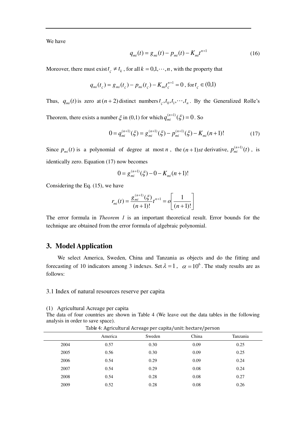We have

$$
q_{mi}(t) = g_{mi}(t) - p_{mi}(t) - K_{mi}t^{n+1}
$$
\n(16)

Moreover, there must exist  $t_{\zeta} \neq t_{k}$ , for all  $k = 0,1,\dots,n$ , with the property that

$$
q_{mi}(t_{\varsigma}) = g_{mi}(t_{\varsigma}) - p_{mi}(t_{\varsigma}) - K_{mi}t_{\varsigma}^{n+1} = 0, \text{ for } t_{\varsigma} \in (0,1)
$$

Thus,  $q_{mi}(t)$  is zero at  $(n+2)$  distinct numbers  $t_c$ ,  $t_0$ ,  $t_1$ ,  $\cdots$ ,  $t_n$ . By the Generalized Rolle's

Theorem, there exists a number  $\xi$  in (0,1) for which  $q_{mi}^{(n+1)}(\xi) = 0$ . So

$$
0 = q_{mi}^{(n+1)}(\xi) = g_{mi}^{(n+1)}(\xi) - p_{mi}^{(n+1)}(\xi) - K_{mi}(n+1)!
$$
 (17)

Since  $p_{mi}(t)$  is a polynomial of degree at most *n*, the  $(n+1)st$  derivative,  $p_{mi}^{(n+1)}(t)$ *mi*  $t^{(1)}(t)$ , is identically zero. Equation (17) now becomes

$$
0 = g_{mi}^{(n+1)}(\xi) - 0 - K_{mi}(n+1)!
$$

Considering the Eq. (15), we have

$$
r_{mi}(t) = \frac{g_{mi}^{(n+1)}(\xi)}{(n+1)!} t^{n+1} = o\left[\frac{1}{(n+1)!}\right]
$$

The error formula in *Theorem 1* is an important theoretical result. Error bounds for the technique are obtained from the error formula of algebraic polynomial.

# **3. Model Application**

 We select America, Sweden, China and Tanzania as objects and do the fitting and forecasting of 10 indicators among 3 indexes. Set  $\lambda = 1$ ,  $\alpha = 10^6$ . The study results are as follows:

3.1 Index of natural resources reserve per capita

(1) Agricultural Acreage per capita

The data of four countries are shown in Table 4 (We leave out the data tables in the following analysis in order to save space).

|      | ັ       | ັ<br>. .<br>$\mathbf{r}$<br>$\cdot$ | . .   |          |
|------|---------|-------------------------------------|-------|----------|
|      | America | Sweden                              | China | Tanzania |
| 2004 | 0.57    | 0.30                                | 0.09  | 0.25     |
| 2005 | 0.56    | 0.30                                | 0.09  | 0.25     |
| 2006 | 0.54    | 0.29                                | 0.09  | 0.24     |
| 2007 | 0.54    | 0.29                                | 0.08  | 0.24     |
| 2008 | 0.54    | 0.28                                | 0.08  | 0.27     |
| 2009 | 0.52    | 0.28                                | 0.08  | 0.26     |
|      |         |                                     |       |          |

Table 4: Agricultural Acreage per capita/unit: hectare/person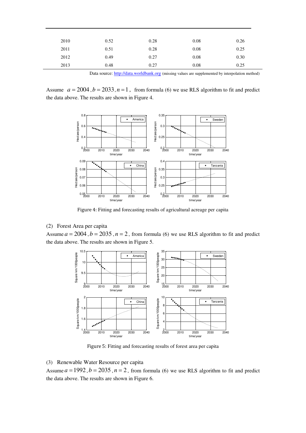| 2010 | 0.52 | 0.28 | 0.08 | 0.26 |
|------|------|------|------|------|
| 2011 | 0.51 | 0.28 | 0.08 | 0.25 |
| 2012 | 0.49 | 0.27 | 0.08 | 0.30 |
| 2013 | 0.48 | 0.27 | 0.08 | 0.25 |
|      |      |      |      |      |

Data source: [http://data.worldbank.org](http://data.worldbank.org/) (missing values are supplemented by interpolation method)

Assume  $a = 2004$ ,  $b = 2033$ ,  $n = 1$ , from formula (6) we use RLS algorithm to fit and predict the data above. The results are shown in Figure 4.



Figure 4: Fitting and forecasting results of agricultural acreage per capita

#### (2) Forest Area per capita

Assume  $a = 2004$ ,  $b = 2035$ ,  $n = 2$ , from formula (6) we use RLS algorithm to fit and predict the data above. The results are shown in Figure 5.



Figure 5: Fitting and forecasting results of forest area per capita

### (3) Renewable Water Resource per capita

Assume  $a = 1992$ ,  $b = 2035$ ,  $n = 2$ , from formula (6) we use RLS algorithm to fit and predict the data above. The results are shown in Figure 6.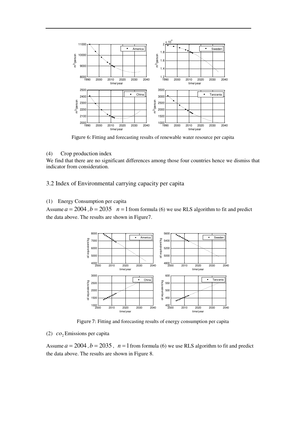

Figure 6: Fitting and forecasting results of renewable water resource per capita

#### (4) Crop production index

We find that there are no significant differences among those four countries hence we dismiss that indicator from consideration.

3.2 Index of Environmental carrying capacity per capita

# (1) Energy Consumption per capita

Assume  $a = 2004$ ,  $b = 2035$   $n = 1$  from formula (6) we use RLS algorithm to fit and predict the data above. The results are shown in Figure7.



Figure 7: Fitting and forecasting results of energy consumption per capita

# (2) <sup>2</sup> *co* Emissions per capita

Assume  $a = 2004$ ,  $b = 2035$ ,  $n = 1$  from formula (6) we use RLS algorithm to fit and predict the data above. The results are shown in Figure 8.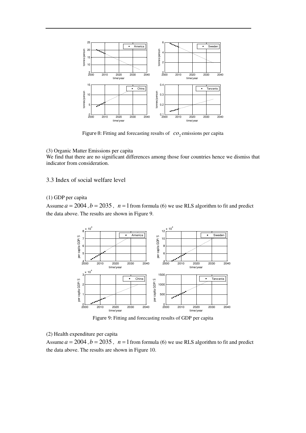

Figure 8: Fitting and forecasting results of  $co<sub>2</sub>$  emissions per capita

#### (3) Organic Matter Emissions per capita

We find that there are no significant differences among those four countries hence we dismiss that indicator from consideration.

#### 3.3 Index of social welfare level

#### (1) GDP per capita

Assume  $a = 2004$ ,  $b = 2035$ ,  $n = 1$  from formula (6) we use RLS algorithm to fit and predict the data above. The results are shown in Figure 9.



Figure 9: Fitting and forecasting results of GDP per capita

#### (2) Health expenditure per capita

Assume  $a = 2004$ ,  $b = 2035$ ,  $n = 1$  from formula (6) we use RLS algorithm to fit and predict the data above. The results are shown in Figure 10.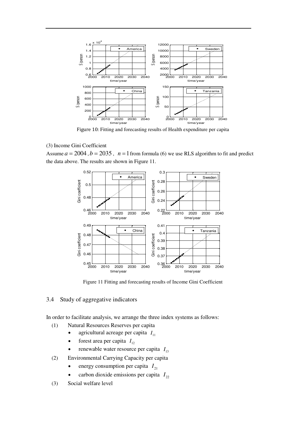

Figure 10: Fitting and forecasting results of Health expenditure per capita

# (3) Income Gini Coefficient

Assume  $a = 2004$ ,  $b = 2035$ ,  $n = 1$  from formula (6) we use RLS algorithm to fit and predict the data above. The results are shown in Figure 11.



Figure 11 Fitting and forecasting results of Income Gini Coefficient

# 3.4 Study of aggregative indicators

In order to facilitate analysis, we arrange the three index systems as follows:

- (1) Natural Resources Reserves per capita
	- agricultural acreage per capita  $I_{11}$
	- forest area per capita  $I_{12}$
	- renewable water resource per capita  $I_{13}$
- (2) Environmental Carrying Capacity per capita
	- energy consumption per capita  $I_{21}$
	- carbon dioxide emissions per capita  $I_{22}$
- (3) Social welfare level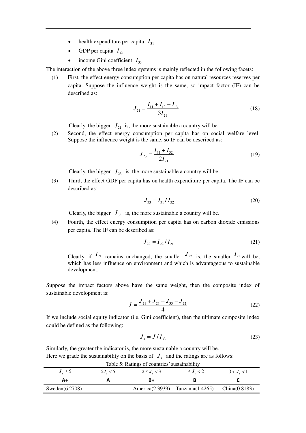- health expenditure per capita  $I_{31}$
- GDP per capita  $I_{32}$
- income Gini coefficient  $I_{33}$

The interaction of the above three index systems is mainly reflected in the following facets:

(1) First, the effect energy consumption per capita has on natural resources reserves per capita. Suppose the influence weight is the same, so impact factor (IF) can be described as:

$$
J_{21} = \frac{I_{11} + I_{12} + I_{13}}{3I_{21}}
$$
 (18)

Clearly, the bigger  $J_{21}$  is, the more sustainable a country will be.

(2) Second, the effect energy consumption per capita has on social welfare level. Suppose the influence weight is the same, so IF can be described as:

$$
J_{23} = \frac{I_{31} + I_{32}}{2I_{21}}\tag{19}
$$

Clearly, the bigger  $J_{23}$  is, the more sustainable a country will be.

(3) Third, the effect GDP per capita has on health expenditure per capita. The IF can be described as:

$$
J_{33} = I_{31} / I_{32} \tag{20}
$$

Clearly, the bigger  $J_{33}$  is, the more sustainable a country will be.

(4) Fourth, the effect energy consumption per capita has on carbon dioxide emissions per capita. The IF can be described as:

$$
J_{22} = I_{22} / I_{21} \tag{21}
$$

Clearly, if  $I_{21}$  remains unchanged, the smaller  $J_{22}$  is, the smaller  $I_{22}$  will be, which has less influence on environment and which is advantageous to sustainable development.

Suppose the impact factors above have the same weight, then the composite index of sustainable development is:

$$
J = \frac{J_{21} + J_{23} + J_{33} - J_{22}}{4}
$$
 (22)

If we include social equity indicator (i.e. Gini coefficient), then the ultimate composite index could be defined as the following:

$$
J_s = J/I_{33} \tag{23}
$$

Similarly, the greater the indicator is, the more sustainable a country will be. Here we grade the sustainability on the basis of  $J<sub>s</sub>$  and the ratings are as follows:

| Table 5: Ratings of countries' sustainability |                  |                   |                                        |                 |  |  |
|-----------------------------------------------|------------------|-------------------|----------------------------------------|-----------------|--|--|
| $J_{\odot} \geq 5$                            | $5J_{\odot} < 5$ | $2 \le J_{s} < 3$ | $1 \leq J_{\alpha} < 2$                | $0 < J_{s} < 1$ |  |  |
| A+                                            |                  |                   |                                        |                 |  |  |
| Sweden $(6.2708)$                             |                  |                   | America $(2.3939)$ Tanzania $(1.4265)$ | China(0.8183)   |  |  |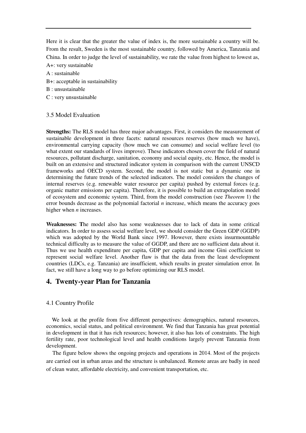Here it is clear that the greater the value of index is, the more sustainable a country will be. From the result, Sweden is the most sustainable country, followed by America, Tanzania and China. In order to judge the level of sustainability, we rate the value from highest to lowest as, A+: very sustainable

- A : sustainable
- B+: acceptable in sustainability
- B : unsustainable
- C : very unsustainable

#### 3.5 Model Evaluation

**Strengths:** The RLS model has three major advantages. First, it considers the measurement of sustainable development in three facets: natural resources reserves (how much we have), environmental carrying capacity (how much we can consume) and social welfare level (to what extent our standards of lives improve). These indicators chosen cover the field of natural resources, pollutant discharge, sanitation, economy and social equity, etc. Hence, the model is built on an extensive and structured indicator system in comparison with the current UNSCD frameworks and OECD system. Second, the model is not static but a dynamic one in determining the future trends of the selected indicators. The model considers the changes of internal reserves (e.g. renewable water resource per capita) pushed by external forces (e.g. organic matter emissions per capita). Therefore, it is possible to build an extrapolation model of ecosystem and economic system. Third, from the model construction (see *Theorem* 1) the error bounds decrease as the polynomial factorial *n* increase, which means the accuracy goes higher when *n* increases.

**Weaknesses: T**he model also has some weaknesses due to lack of data in some critical indicators. In order to assess social welfare level, we should consider the Green GDP (GGDP) which was adopted by the World Bank since 1997. However, there exists insurmountable technical difficulty as to measure the value of GGDP, and there are no sufficient data about it. Thus we use health expenditure per capita, GDP per capita and income Gini coefficient to represent social welfare level. Another flaw is that the data from the least development countries (LDCs, e.g. Tanzania) are insufficient, which results in greater simulation error. In fact, we still have a long way to go before optimizing our RLS model.

# **4. Twenty-year Plan for Tanzania**

# 4.1 Country Profile

We look at the profile from five different perspectives: demographics, natural resources, economics, social status, and political environment. We find that Tanzania has great potential in development in that it has rich resources; however, it also has lots of constraints. The high fertility rate, poor technological level and health conditions largely prevent Tanzania from development.

 The figure below shows the ongoing projects and operations in 2014. Most of the projects are carried out in urban areas and the structure is unbalanced. Remote areas are badly in need of clean water, affordable electricity, and convenient transportation, etc.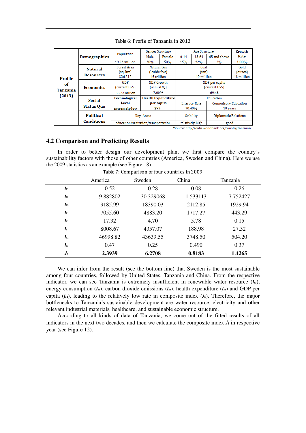|                 | <b>Demographics</b> | Population                          | Gender Structure                             |                         | Age Structure  |           |                             | Growth     |
|-----------------|---------------------|-------------------------------------|----------------------------------------------|-------------------------|----------------|-----------|-----------------------------|------------|
|                 |                     |                                     | Male                                         | Female                  | $0 - 14$       | $15 - 64$ | 65 and above                | Rate       |
|                 |                     | 49.25 million                       | 50%                                          | 50%                     | 45%            | 52%       | 3%                          | 3.00%      |
|                 | <b>Natural</b>      | Forest Area                         | Natural Gas                                  |                         | Coal           |           | Gold                        |            |
|                 |                     | (sq. km)                            |                                              | cubic feet)             |                | (ton)     |                             | (ounce)    |
| Profile         | <b>Resources</b>    | 326,212                             | 43 trillion                                  |                         | 10 million     |           |                             | 18 million |
| of              |                     | GDP                                 | <b>GDP Growth</b>                            |                         | GDP per capita |           |                             |            |
|                 | <b>Economics</b>    | (current US\$)                      | (annual %)                                   |                         | (current US\$) |           |                             |            |
| <b>Tanzania</b> |                     | 33.23 billion                       | 7.00%                                        |                         | 694.8          |           |                             |            |
| (2013)          | Social              | <b>Technological</b>                | <b>Health Expenditure</b>                    |                         | Education      |           |                             |            |
|                 | Level<br>per capita |                                     | <b>Compulsory Education</b><br>Literacy Rate |                         |                |           |                             |            |
|                 | <b>Status Quo</b>   | \$73<br>extremely low               |                                              | 90.40%<br>10 years      |                |           |                             |            |
|                 | Political           |                                     | Key Areas                                    |                         |                | Stability | <b>Diplomatic Relations</b> |            |
|                 | <b>Conditions</b>   | education/sanitation/transportation |                                              | relatively high<br>good |                |           |                             |            |

#### Table 6: Profile of Tanzania in 2013

\*Source: http://data.worldbank.org/country/tanzania

#### **4.2 Comparison and Predicting Results**

In order to better design our development plan, we first compare the country's sustainability factors with those of other countries (America, Sweden and China). Here we use the 2009 statistics as an example (see Figure 18).

|                   | America  | Sweden    | China    | Tanzania |  |  |
|-------------------|----------|-----------|----------|----------|--|--|
| $\mathbf{I}_{11}$ | 0.52     | 0.28      | 0.08     | 0.26     |  |  |
| $\mathbf{I}_{12}$ | 9.882802 | 30.329068 | 1.533113 | 7.752427 |  |  |
| $\mathbf{I}_{13}$ | 9185.99  | 18390.03  | 2112.85  | 1929.94  |  |  |
| $I_{21}$          | 7055.60  | 4883.20   | 1717.27  | 443.29   |  |  |
| $I_{22}$          | 17.32    | 4.70      | 5.78     | 0.15     |  |  |
| $\mathbf{I}_{31}$ | 8008.67  | 4357.07   | 188.98   | 27.52    |  |  |
| $\mathbf{I}_{32}$ | 46998.82 | 43639.55  | 3748.50  | 504.20   |  |  |
| $\mathbf{I}_{33}$ | 0.47     | 0.25      | 0.490    | 0.37     |  |  |
| $J_{\rm s}$       | 2.3939   | 6.2708    | 0.8183   | 1.4265   |  |  |

Table 7: Comparison of four countries in 2009

 We can infer from the result (see the bottom line) that Sweden is the most sustainable among four countries, followed by United States, Tanzania and China. From the respective indicator, we can see Tanzania is extremely insufficient in renewable water resource (*I***13**), energy consumption ( $I$ <sup>21</sup>), carbon dioxide emissions ( $I$ <sup>22</sup>), health expenditure ( $I$ <sup>31</sup>) and GDP per capita  $(I_2)$ , leading to the relatively low rate in composite index  $(I_5)$ . Therefore, the major bottlenecks to Tanzania's sustainable development are water resource, electricity and other relevant industrial materials, healthcare, and sustainable economic structure.

According to all kinds of data of Tanzania, we come out of the fitted results of all indicators in the next two decades, and then we calculate the composite index *J*<sup>s</sup> in respective year (see Figure 12).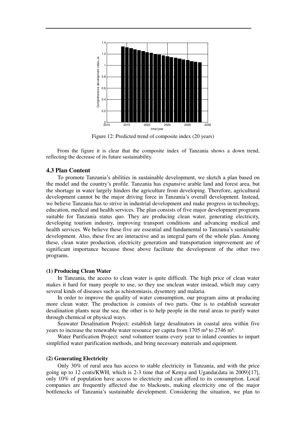

Figure 12: Predicted trend of composite index (20 years)

From the figure it is clear that the composite index of Tanzania shows a down trend, reflecting the decrease of its future sustainability.

#### **4.3 Plan Content**

 To promote Tanzania's abilities in sustainable development, we sketch a plan based on the model and the country's profile. Tanzania has expansive arable land and forest area, but the shortage in water largely hinders the agriculture from developing. Therefore, agricultural development cannot be the major driving force in Tanzania's overall development. Instead, we believe Tanzania has to strive in industrial development and make progress in technology, education, medical and health services. The plan consists of five major development programs suitable for Tanzania status quo. They are producing clean water, generating electricity, developing tourism industry, improving transport conditions and advancing medical and health services. We believe these five are essential and fundamental to Tanzania's sustainable development. Also, these five are interactive and as integral parts of the whole plan. Among these, clean water production, electricity generation and transportation improvement are of significant importance because those above facilitate the development of the other two programs.

#### **(1) Producing Clean Water**

 In Tanzania, the access to clean water is quite difficult. The high price of clean water makes it hard for many people to use, so they use unclean water instead, which may carry several kinds of diseases such as schistomiasis, dysentery and malaria.

 In order to improve the quality of water consumption, our program aims at producing more clean water. The production is consists of two parts. One is to establish seawater desalination plants near the sea; the other is to help people in the rural areas to purify water through chemical or physical ways.

 Seawater Desalination Project: establish large desalinators in coastal area within five years to increase the renewable water resource per capita from  $1705 \text{ m}^3$  to  $2746 \text{ m}^3$ .

 Water Purification Project: send volunteer teams every year to inland counties to impart simplified water purification methods, and bring necessary materials and equipment.

#### **(2) Generating Electricity**

 Only 30% of rural area has access to stable electricity in Tanzania, and with the price going up to 12 cents/KWH, which is 2-3 time that of Kenya and Uganda(data in 2009)[17], only 10% of population have access to electricity and can afford to its consumption. Local companies are frequently affected due to blackouts, making electricity one of the major bottlenecks of Tanzania's sustainable development. Considering the situation, we plan to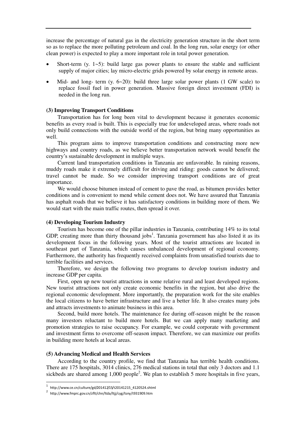increase the percentage of natural gas in the electricity generation structure in the short term so as to replace the more polluting petroleum and coal. In the long run, solar energy (or other clean power) is expected to play a more important role in total power generation.

- Short-term  $(y. 1-5)$ : build large gas power plants to ensure the stable and sufficient supply of major cities; lay micro-electric grids powered by solar energy in remote areas.
- Mid- and long- term  $(y, 6-20)$ : build three large solar power plants  $(1 \text{ GW scale})$  to replace fossil fuel in power generation. Massive foreign direct investment (FDI) is needed in the long run.

#### **(3) Improving Transport Conditions**

 Transportation has for long been vital to development because it generates economic benefits as every road is built. This is especially true for undeveloped areas, where roads not only build connections with the outside world of the region, but bring many opportunities as well.

 This program aims to improve transportation conditions and constructing more new highways and country roads, as we believe better transportation network would benefit the country's sustainable development in multiple ways.

 Current land transportation conditions in Tanzania are unfavorable. In raining reasons, muddy roads make it extremely difficult for driving and riding: goods cannot be delivered; travel cannot be made. So we consider improving transport conditions are of great importance.

 We would choose bitumen instead of cement to pave the road, as bitumen provides better conditions and is convenient to mend while cement does not. We have assured that Tanzania has asphalt roads that we believe it has satisfactory conditions in building more of them. We would start with the main traffic routes, then spread it over.

#### **(4) Developing Tourism Industry**

 Tourism has become one of the pillar industries in Tanzania, contributing 14% to its total GDP, creating more than thirty thousand jobs<sup>1</sup>. Tanzania government has also listed it as its development focus in the following years. Most of the tourist attractions are located in southeast part of Tanzania, which causes unbalanced development of regional economy. Furthermore, the authority has frequently received complaints from unsatisfied tourists due to terrible facilities and services.

 Therefore, we design the following two programs to develop tourism industry and increase GDP per capita.

 First, open up new tourist attractions in some relative rural and least developed regions. New tourist attractions not only create economic benefits in the region, but also drive the regional economic development. More importantly, the preparation work for the site enables the local citizens to have better infrastructure and live a better life. It also creates many jobs and attracts investments to animate business in this area.

 Second, build more hotels. The maintenance fee during off-season might be the reason many investors reluctant to build more hotels. But we can apply many marketing and promotion strategies to raise occupancy. For example, we could corporate with government and investment firms to overcome off-season impact. Therefore, we can maximize our profits in building more hotels at local areas.

#### **(5) Advancing Medical and Health Services**

 According to the country profile, we find that Tanzania has terrible health conditions. There are 175 hospitals, 3014 clinics, 276 medical stations in total that only 3 doctors and 1.1 sickbeds are shared among  $1,000$  people<sup>2</sup>. We plan to establish 5 more hospitals in five years,

 1 http://www.ce.cn/culture/gd/201412/15/t20141215\_4120524.shtml

<sup>2</sup> http://www.fmprc.gov.cn/zflt/chn/ltda/ltjj/cyg/tsny/t931909.htm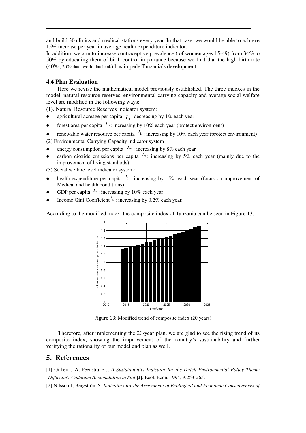and build 30 clinics and medical stations every year. In that case, we would be able to achieve 15% increase per year in average health expenditure indicator.

In addition, we aim to increase contraceptive prevalence ( of women ages 15-49) from 34% to 50% by educating them of birth control importance because we find that the high birth rate (40‰, 2009 data, world databank) has impede Tanzania's development.

#### **4.4 Plan Evaluation**

 Here we revise the mathematical model previously established. The three indexes in the model, natural resource reserves, environmental carrying capacity and average social welfare level are modified in the following ways:

(1). Natural Resource Reserves indicator system:

- agricultural acreage per capita  $I_{11}$ : decreasing by 1% each year
- forest area per capita  $I_{12}$ : increasing by 10% each year (protect environment)
- renewable water resource per capita  $I_{13}$ : increasing by 10% each year (protect environment)

(2) Environmental Carrying Capacity indicator system

- **e** energy consumption per capita  $I_{21}$  : increasing by 8% each year
- carbon dioxide emissions per capita  $I_{22}$ : increasing by 5% each year (mainly due to the improvement of living standards)

(3) Social welfare level indicator system:

- health expenditure per capita  $I_{31}$ : increasing by 15% each year (focus on improvement of Medical and health conditions)
- GDP per capita  $I_{32}$ : increasing by 10% each year
- Income Gini Coefficient  $I_{33}$ : increasing by 0.2% each year.

According to the modified index, the composite index of Tanzania can be seen in Figure 13.



Figure 13: Modified trend of composite index (20 years)

Therefore, after implementing the 20-year plan, we are glad to see the rising trend of its composite index, showing the improvement of the country's sustainability and further verifying the rationality of our model and plan as well.

# **5. References**

[1] Gilbert J A, Feenstra F J. *A Sustainability Indicator for the Dutch Environmental Policy Theme `Diffusion': Cadmium Accumulation in Soil* [J]. Ecol. Econ, 1994, 9:253-265.

[2] Nilsson J, Bergström S. *Indicators for the Assessment of Ecological and Economic Consequences of*